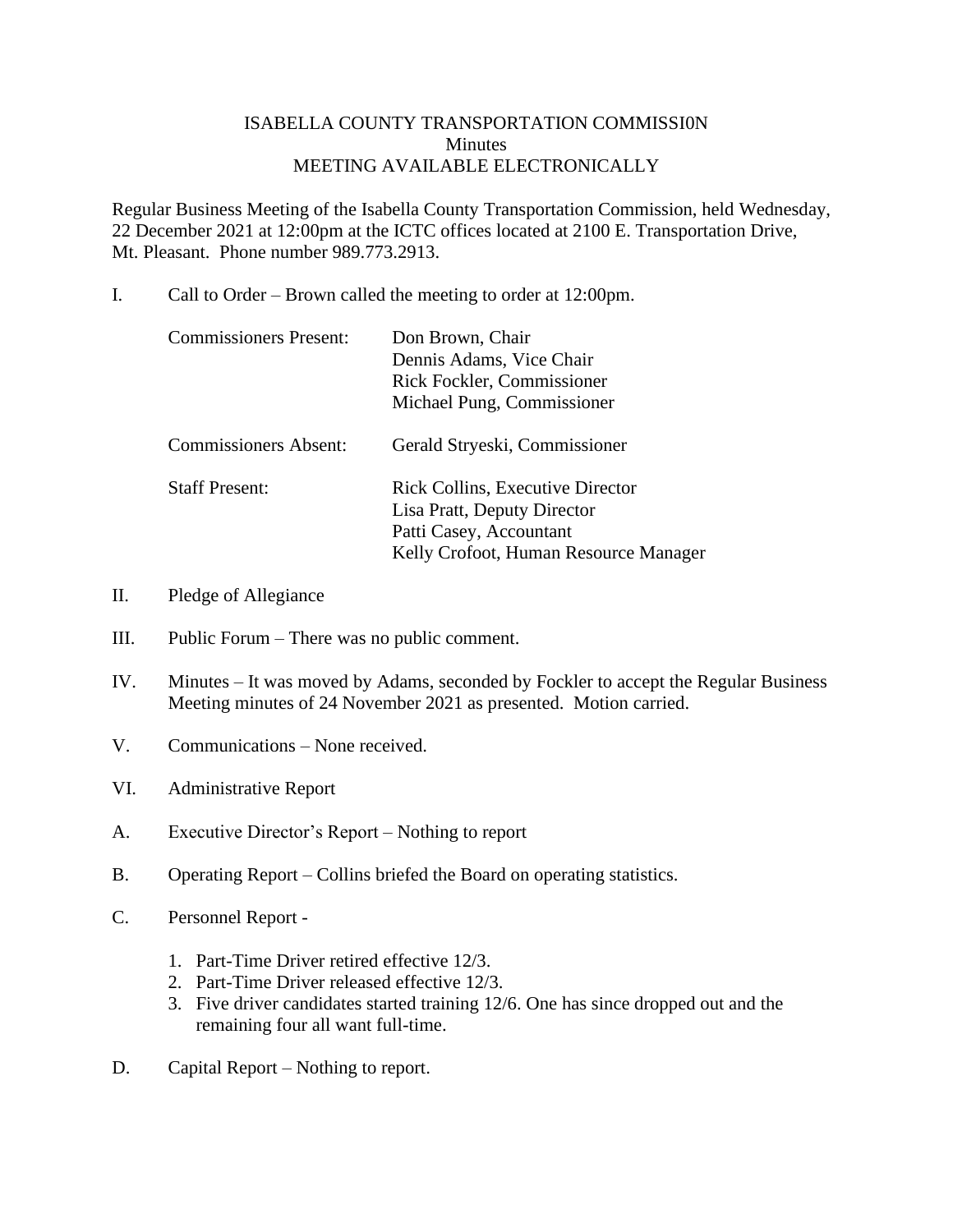## ISABELLA COUNTY TRANSPORTATION COMMISSI0N **Minutes** MEETING AVAILABLE ELECTRONICALLY

Regular Business Meeting of the Isabella County Transportation Commission, held Wednesday, 22 December 2021 at 12:00pm at the ICTC offices located at 2100 E. Transportation Drive, Mt. Pleasant. Phone number 989.773.2913.

I. Call to Order – Brown called the meeting to order at 12:00pm.

| <b>Commissioners Present:</b> | Don Brown, Chair<br>Dennis Adams, Vice Chair<br>Rick Fockler, Commissioner<br>Michael Pung, Commissioner                                   |
|-------------------------------|--------------------------------------------------------------------------------------------------------------------------------------------|
| <b>Commissioners Absent:</b>  | Gerald Stryeski, Commissioner                                                                                                              |
| <b>Staff Present:</b>         | <b>Rick Collins, Executive Director</b><br>Lisa Pratt, Deputy Director<br>Patti Casey, Accountant<br>Kelly Crofoot, Human Resource Manager |

- II. Pledge of Allegiance
- III. Public Forum There was no public comment.
- IV. Minutes It was moved by Adams, seconded by Fockler to accept the Regular Business Meeting minutes of 24 November 2021 as presented. Motion carried.
- V. Communications None received.
- VI. Administrative Report
- A. Executive Director's Report Nothing to report
- B. Operating Report Collins briefed the Board on operating statistics.
- C. Personnel Report
	- 1. Part-Time Driver retired effective 12/3.
	- 2. Part-Time Driver released effective 12/3.
	- 3. Five driver candidates started training 12/6. One has since dropped out and the remaining four all want full-time.
- D. Capital Report Nothing to report.